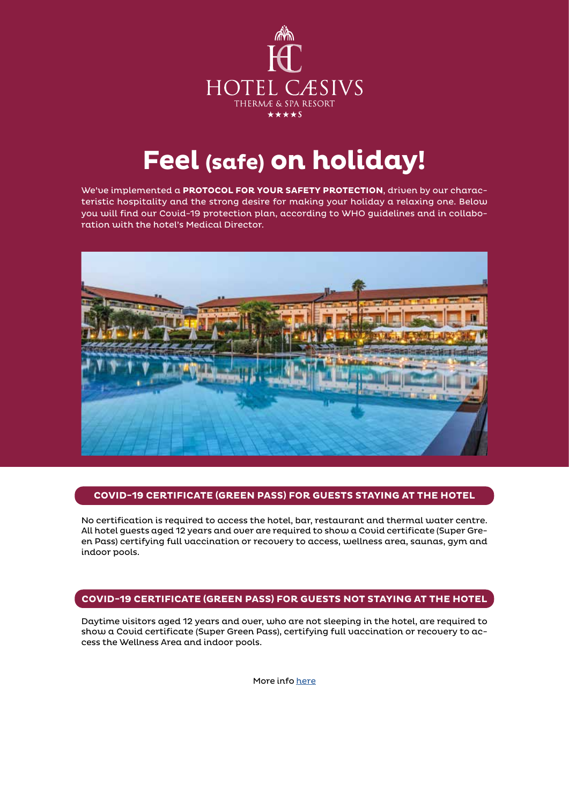

# **Feel (safe) on holiday!**

We've implemented a **PROTOCOL FOR YOUR SAFETY PROTECTION**, driven by our characteristic hospitality and the strong desire for making your holiday a relaxing one. Below you will find our Covid-19 protection plan, according to WHO guidelines and in collaboration with the hotel's Medical Director.



## **COVID-19 CERTIFICATE (GREEN PASS) FOR GUESTS STAYING AT THE HOTEL**

No certification is required to access the hotel, bar, restaurant and thermal water centre. All hotel guests aged 12 years and over are required to show a Covid certificate (Super Green Pass) certifying full vaccination or recovery to access, wellness area, saunas, gym and indoor pools.

## **COVID-19 CERTIFICATE (GREEN PASS) FOR GUESTS NOT STAYING AT THE HOTEL**

Daytime visitors aged 12 years and over, who are not sleeping in the hotel, are required to show a Covid certificate (Super Green Pass), certifying full vaccination or recovery to access the Wellness Area and indoor pools.

More info [here](https://reopen.europa.eu/en/)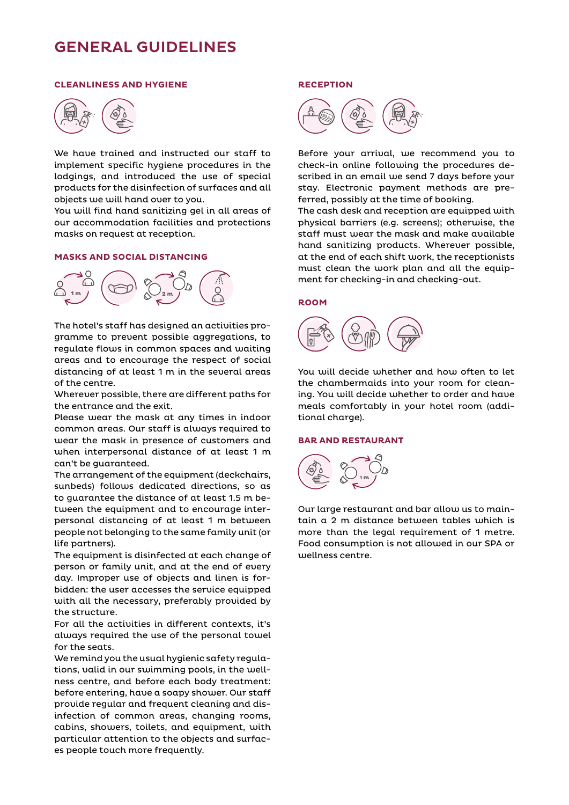# GENERAL GUIDELINES

#### **CLEANLINESS AND HYGIENE**



We have trained and instructed our staff to implement specific hygiene procedures in the lodgings, and introduced the use of special products for the disinfection of surfaces and all objects we will hand over to you.

You will find hand sanitizing gel in all areas of our accommodation facilities and protections masks on request at reception.

#### **MASKS AND SOCIAL DISTANCING**



The hotel's staff has designed an activities programme to prevent possible aggregations, to regulate flows in common spaces and waiting areas and to encourage the respect of social distancing of at least 1 m in the several areas of the centre.

Wherever possible, there are different paths for the entrance and the exit.

Please wear the mask at any times in indoor common areas. Our staff is always required to wear the mask in presence of customers and when interpersonal distance of at least 1 m can't be guaranteed.

The arrangement of the equipment (deckchairs, sunbeds) follows dedicated directions, so as to guarantee the distance of at least 1.5 m between the equipment and to encourage interpersonal distancing of at least 1 m between people not belonging to the same family unit (or life partners).

The equipment is disinfected at each change of person or family unit, and at the end of every day. Improper use of objects and linen is forbidden: the user accesses the service equipped with all the necessary, preferably provided by the structure.

For all the activities in different contexts, it's always required the use of the personal towel for the seats.

We remind you the usual hygienic safety regulations, valid in our swimming pools, in the wellness centre, and before each body treatment: before entering, have a soapy shower. Our staff provide regular and frequent cleaning and disinfection of common areas, changing rooms, cabins, showers, toilets, and equipment, with particular attention to the objects and surfaces people touch more frequently.

#### **RECEPTION**



Before your arrival, we recommend you to check-in online following the procedures described in an email we send 7 days before your stay. Electronic payment methods are preferred, possibly at the time of booking.

The cash desk and reception are equipped with physical barriers (e.g. screens); otherwise, the staff must wear the mask and make available hand sanitizing products. Wherever possible, at the end of each shift work, the receptionists must clean the work plan and all the equipment for checking-in and checking-out.

#### **ROOM**



You will decide whether and how often to let the chambermaids into your room for cleaning. You will decide whether to order and have meals comfortably in your hotel room (additional charge).

#### **BAR AND RESTAURANT**



Our large restaurant and bar allow us to maintain a 2 m distance between tables which is more than the legal requirement of 1 metre. Food consumption is not allowed in our SPA or wellness centre.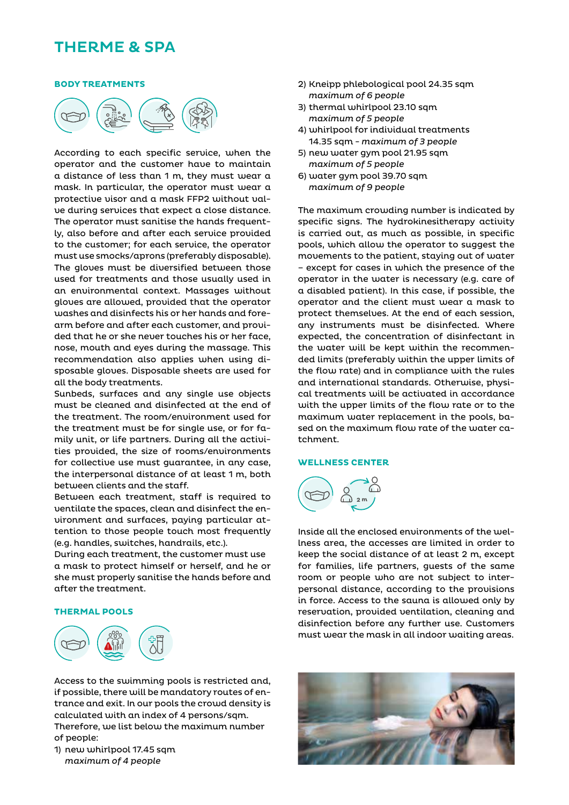# THERME & SPA

#### **BODY TREATMENTS**



According to each specific service, when the operator and the customer have to maintain a distance of less than 1 m, they must wear a mask. In particular, the operator must wear a protective visor and a mask FFP2 without valve during services that expect a close distance. The operator must sanitise the hands frequently, also before and after each service provided to the customer; for each service, the operator must use smocks/aprons (preferably disposable). The gloves must be diversified between those used for treatments and those usually used in an environmental context. Massages without gloves are allowed, provided that the operator washes and disinfects his or her hands and forearm before and after each customer, and provided that he or she never touches his or her face, nose, mouth and eyes during the massage. This recommendation also applies when using disposable gloves. Disposable sheets are used for all the body treatments.

Sunbeds, surfaces and any single use objects must be cleaned and disinfected at the end of the treatment. The room/environment used for the treatment must be for single use, or for family unit, or life partners. During all the activities provided, the size of rooms/environments for collective use must guarantee, in any case, the interpersonal distance of at least 1 m, both between clients and the staff.

Between each treatment, staff is required to ventilate the spaces, clean and disinfect the environment and surfaces, paying particular attention to those people touch most frequently (e.g. handles, switches, handrails, etc.).

During each treatment, the customer must use a mask to protect himself or herself, and he or she must properly sanitise the hands before and after the treatment.

#### **THERMAL POOLS**



Access to the swimming pools is restricted and, if possible, there will be mandatory routes of entrance and exit. In our pools the crowd density is calculated with an index of 4 persons/sqm. Therefore, we list below the maximum number of people:

1) new whirlpool 17.45 sqm *maximum of 4 people*

- 2) Kneipp phlebological pool 24.35 sqm *maximum of 6 people*
- 3) thermal whirlpool 23.10 sqm *maximum of 5 people*
- 4) whirlpool for individual treatments 14.35 sqm - *maximum of 3 people*
- 5) new water gym pool 21.95 sqm *maximum of 5 people*
- 6) water gym pool 39.70 sqm *maximum of 9 people*

The maximum crowding number is indicated by specific signs. The hydrokinesitherapy activity is carried out, as much as possible, in specific pools, which allow the operator to suggest the movements to the patient, staying out of water – except for cases in which the presence of the operator in the water is necessary (e.g. care of a disabled patient). In this case, if possible, the operator and the client must wear a mask to protect themselves. At the end of each session, any instruments must be disinfected. Where expected, the concentration of disinfectant in the water will be kept within the recommended limits (preferably within the upper limits of the flow rate) and in compliance with the rules and international standards. Otherwise, physical treatments will be activated in accordance with the upper limits of the flow rate or to the maximum water replacement in the pools, based on the maximum flow rate of the water catchment.

#### **WELLNESS CENTER**



Inside all the enclosed environments of the wellness area, the accesses are limited in order to keep the social distance of at least 2 m, except for families, life partners, guests of the same room or people who are not subject to interpersonal distance, according to the provisions in force. Access to the sauna is allowed only by reservation, provided ventilation, cleaning and disinfection before any further use. Customers must wear the mask in all indoor waiting areas.